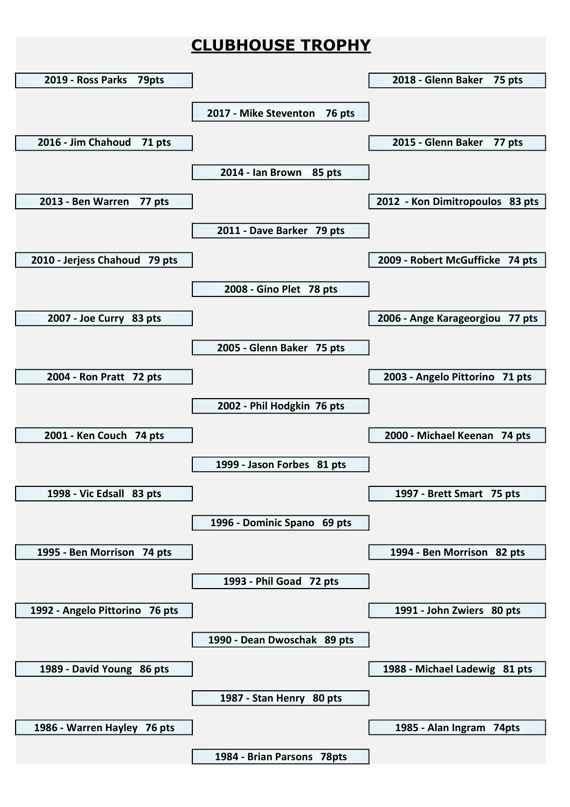## CLUBHOUSE TROPHY